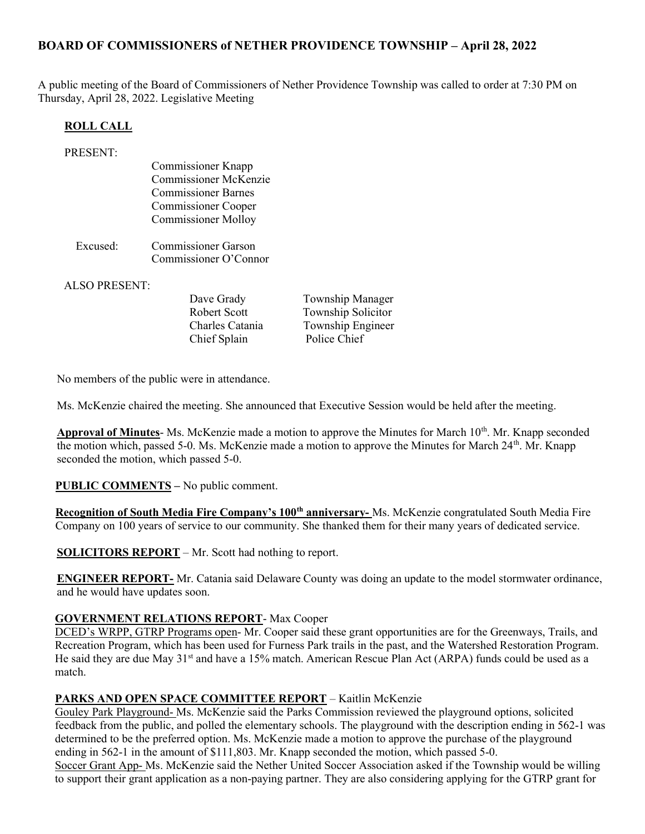# BOARD OF COMMISSIONERS of NETHER PROVIDENCE TOWNSHIP – April 28, 2022

A public meeting of the Board of Commissioners of Nether Providence Township was called to order at 7:30 PM on Thursday, April 28, 2022. Legislative Meeting

#### ROLL CALL

| <b>PRESENT:</b> |                              |
|-----------------|------------------------------|
|                 | <b>Commissioner Knapp</b>    |
|                 | <b>Commissioner McKenzie</b> |
|                 | <b>Commissioner Barnes</b>   |
|                 | <b>Commissioner Cooper</b>   |
|                 | <b>Commissioner Molloy</b>   |
| Excused:        | <b>Commissioner Garson</b>   |
|                 | Commissioner O'Connor        |
|                 |                              |

ALSO PRESENT:

Dave Grady Township Manager Robert Scott Township Solicitor Charles Catania Township Engineer<br>
Chief Splain Police Chief Chief Splain

No members of the public were in attendance.

Ms. McKenzie chaired the meeting. She announced that Executive Session would be held after the meeting.

**Approval of Minutes-** Ms. McKenzie made a motion to approve the Minutes for March  $10<sup>th</sup>$ . Mr. Knapp seconded the motion which, passed 5-0. Ms. McKenzie made a motion to approve the Minutes for March 24<sup>th</sup>. Mr. Knapp seconded the motion, which passed 5-0.

PUBLIC COMMENTS – No public comment.

Recognition of South Media Fire Company's 100<sup>th</sup> anniversary- Ms. McKenzie congratulated South Media Fire Company on 100 years of service to our community. She thanked them for their many years of dedicated service.

SOLICITORS REPORT – Mr. Scott had nothing to report.

ENGINEER REPORT- Mr. Catania said Delaware County was doing an update to the model stormwater ordinance, and he would have updates soon.

#### GOVERNMENT RELATIONS REPORT- Max Cooper

DCED's WRPP, GTRP Programs open- Mr. Cooper said these grant opportunities are for the Greenways, Trails, and Recreation Program, which has been used for Furness Park trails in the past, and the Watershed Restoration Program. He said they are due May 31<sup>st</sup> and have a 15% match. American Rescue Plan Act (ARPA) funds could be used as a match.

#### PARKS AND OPEN SPACE COMMITTEE REPORT – Kaitlin McKenzie

Gouley Park Playground- Ms. McKenzie said the Parks Commission reviewed the playground options, solicited feedback from the public, and polled the elementary schools. The playground with the description ending in 562-1 was determined to be the preferred option. Ms. McKenzie made a motion to approve the purchase of the playground ending in 562-1 in the amount of \$111,803. Mr. Knapp seconded the motion, which passed 5-0.

Soccer Grant App- Ms. McKenzie said the Nether United Soccer Association asked if the Township would be willing to support their grant application as a non-paying partner. They are also considering applying for the GTRP grant for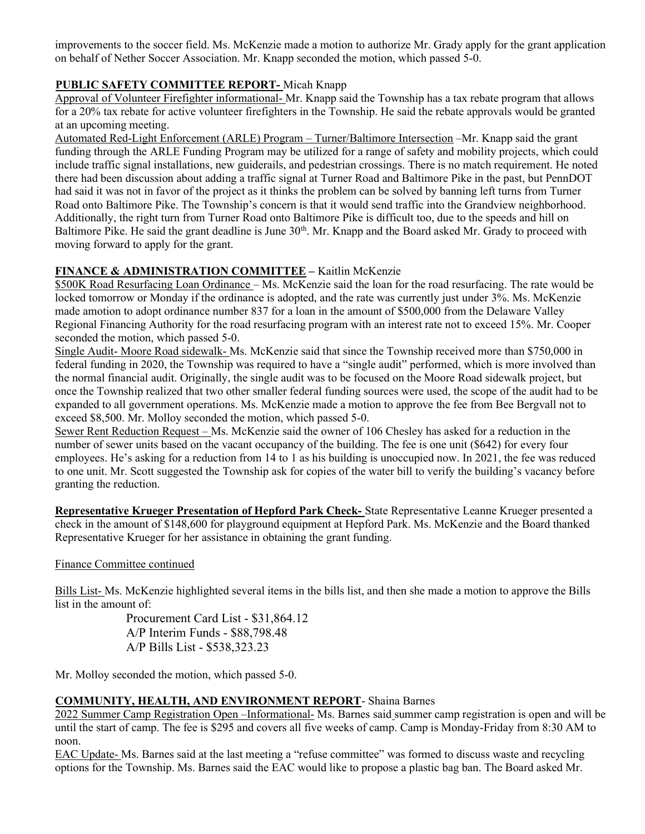improvements to the soccer field. Ms. McKenzie made a motion to authorize Mr. Grady apply for the grant application on behalf of Nether Soccer Association. Mr. Knapp seconded the motion, which passed 5-0.

# PUBLIC SAFETY COMMITTEE REPORT- Micah Knapp

Approval of Volunteer Firefighter informational- Mr. Knapp said the Township has a tax rebate program that allows for a 20% tax rebate for active volunteer firefighters in the Township. He said the rebate approvals would be granted at an upcoming meeting.

Automated Red-Light Enforcement (ARLE) Program – Turner/Baltimore Intersection –Mr. Knapp said the grant funding through the ARLE Funding Program may be utilized for a range of safety and mobility projects, which could include traffic signal installations, new guiderails, and pedestrian crossings. There is no match requirement. He noted there had been discussion about adding a traffic signal at Turner Road and Baltimore Pike in the past, but PennDOT had said it was not in favor of the project as it thinks the problem can be solved by banning left turns from Turner Road onto Baltimore Pike. The Township's concern is that it would send traffic into the Grandview neighborhood. Additionally, the right turn from Turner Road onto Baltimore Pike is difficult too, due to the speeds and hill on Baltimore Pike. He said the grant deadline is June 30<sup>th</sup>. Mr. Knapp and the Board asked Mr. Grady to proceed with moving forward to apply for the grant.

### FINANCE & ADMINISTRATION COMMITTEE – Kaitlin McKenzie

\$500K Road Resurfacing Loan Ordinance – Ms. McKenzie said the loan for the road resurfacing. The rate would be locked tomorrow or Monday if the ordinance is adopted, and the rate was currently just under 3%. Ms. McKenzie made amotion to adopt ordinance number 837 for a loan in the amount of \$500,000 from the Delaware Valley Regional Financing Authority for the road resurfacing program with an interest rate not to exceed 15%. Mr. Cooper seconded the motion, which passed 5-0.

Single Audit- Moore Road sidewalk- Ms. McKenzie said that since the Township received more than \$750,000 in federal funding in 2020, the Township was required to have a "single audit" performed, which is more involved than the normal financial audit. Originally, the single audit was to be focused on the Moore Road sidewalk project, but once the Township realized that two other smaller federal funding sources were used, the scope of the audit had to be expanded to all government operations. Ms. McKenzie made a motion to approve the fee from Bee Bergvall not to exceed \$8,500. Mr. Molloy seconded the motion, which passed 5-0.

Sewer Rent Reduction Request – Ms. McKenzie said the owner of 106 Chesley has asked for a reduction in the number of sewer units based on the vacant occupancy of the building. The fee is one unit (\$642) for every four employees. He's asking for a reduction from 14 to 1 as his building is unoccupied now. In 2021, the fee was reduced to one unit. Mr. Scott suggested the Township ask for copies of the water bill to verify the building's vacancy before granting the reduction.

Representative Krueger Presentation of Hepford Park Check- State Representative Leanne Krueger presented a check in the amount of \$148,600 for playground equipment at Hepford Park. Ms. McKenzie and the Board thanked Representative Krueger for her assistance in obtaining the grant funding.

### Finance Committee continued

Bills List- Ms. McKenzie highlighted several items in the bills list, and then she made a motion to approve the Bills list in the amount of:

> Procurement Card List - \$31,864.12 A/P Interim Funds - \$88,798.48 A/P Bills List - \$538,323.23

Mr. Molloy seconded the motion, which passed 5-0.

### COMMUNITY, HEALTH, AND ENVIRONMENT REPORT- Shaina Barnes

2022 Summer Camp Registration Open –Informational- Ms. Barnes said summer camp registration is open and will be until the start of camp. The fee is \$295 and covers all five weeks of camp. Camp is Monday-Friday from 8:30 AM to noon.

EAC Update- Ms. Barnes said at the last meeting a "refuse committee" was formed to discuss waste and recycling options for the Township. Ms. Barnes said the EAC would like to propose a plastic bag ban. The Board asked Mr.